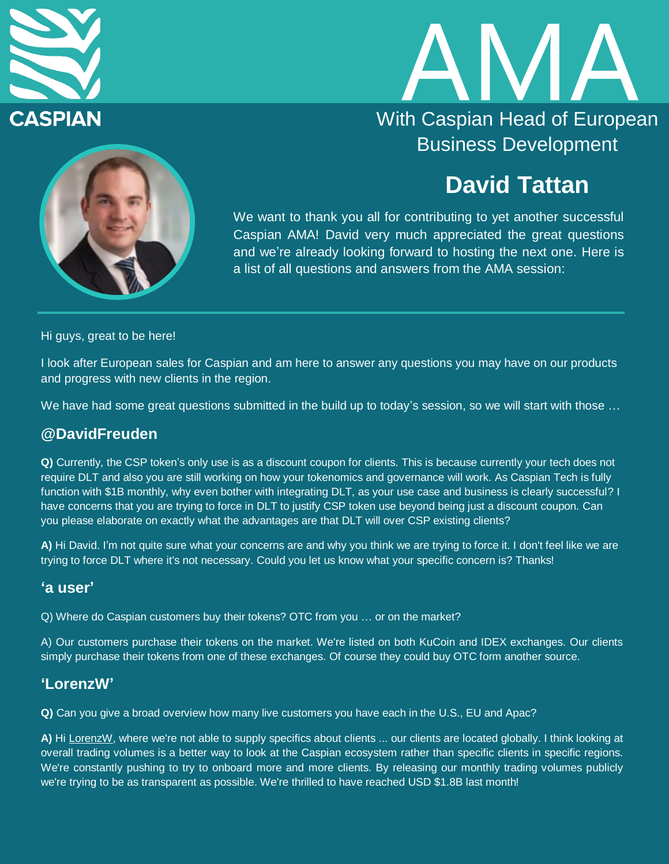



# **David Tattan**

We want to thank you all for contributing to yet another successful Caspian AMA! David very much appreciated the great questions and we're already looking forward to hosting the next one. Here is a list of all questions and answers from the AMA session:

Hi guys, great to be here!

I look after European sales for Caspian and am here to answer any questions you may have on our products and progress with new clients in the region.

We have had some great questions submitted in the build up to today's session, so we will start with those ...

#### **@DavidFreuden**

**Q)** Currently, the CSP token's only use is as a discount coupon for clients. This is because currently your tech does not require DLT and also you are still working on how your tokenomics and governance will work. As Caspian Tech is fully function with \$1B monthly, why even bother with integrating DLT, as your use case and business is clearly successful? I have concerns that you are trying to force in DLT to justify CSP token use beyond being just a discount coupon. Can you please elaborate on exactly what the advantages are that DLT will over CSP existing clients?

**A)** Hi David. I'm not quite sure what your concerns are and why you think we are trying to force it. I don't feel like we are trying to force DLT where it's not necessary. Could you let us know what your specific concern is? Thanks!

#### **'a user'**

Q) Where do Caspian customers buy their tokens? OTC from you … or on the market?

A) Our customers purchase their tokens on the market. We're listed on both KuCoin and IDEX exchanges. Our clients simply purchase their tokens from one of these exchanges. Of course they could buy OTC form another source.

#### **'LorenzW'**

**Q)** Can you give a broad overview how many live customers you have each in the U.S., EU and Apac?

**A)** Hi [LorenzW,](https://web.telegram.org/#/im?p=%40LorenzW) where we're not able to supply specifics about clients ... our clients are located globally. I think looking at overall trading volumes is a better way to look at the Caspian ecosystem rather than specific clients in specific regions. We're constantly pushing to try to onboard more and more clients. By releasing our monthly trading volumes publicly we're trying to be as transparent as possible. We're thrilled to have reached USD \$1.8B last month!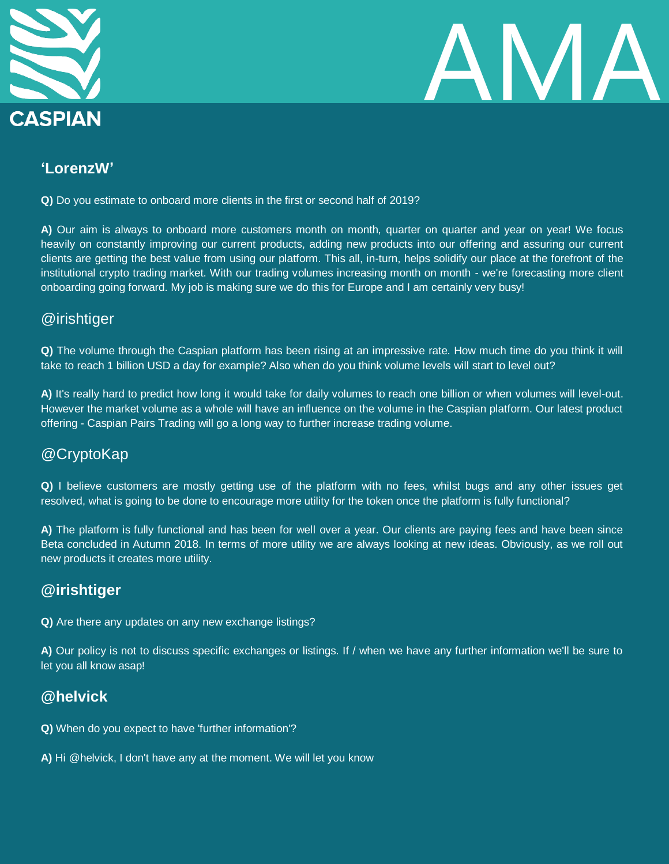



# **'LorenzW'**

**Q)** Do you estimate to onboard more clients in the first or second half of 2019?

**A)** Our aim is always to onboard more customers month on month, quarter on quarter and year on year! We focus heavily on constantly improving our current products, adding new products into our offering and assuring our current clients are getting the best value from using our platform. This all, in-turn, helps solidify our place at the forefront of the institutional crypto trading market. With our trading volumes increasing month on month - we're forecasting more client onboarding going forward. My job is making sure we do this for Europe and I am certainly very busy!

### @irishtiger

**Q)** The volume through the Caspian platform has been rising at an impressive rate. How much time do you think it will take to reach 1 billion USD a day for example? Also when do you think volume levels will start to level out?

**A)** It's really hard to predict how long it would take for daily volumes to reach one billion or when volumes will level-out. However the market volume as a whole will have an influence on the volume in the Caspian platform. Our latest product offering - Caspian Pairs Trading will go a long way to further increase trading volume.

# @CryptoKap

**Q)** I believe customers are mostly getting use of the platform with no fees, whilst bugs and any other issues get resolved, what is going to be done to encourage more utility for the token once the platform is fully functional?

**A)** The platform is fully functional and has been for well over a year. Our clients are paying fees and have been since Beta concluded in Autumn 2018. In terms of more utility we are always looking at new ideas. Obviously, as we roll out new products it creates more utility.

# **@irishtiger**

**Q)** Are there any updates on any new exchange listings?

**A)** Our policy is not to discuss specific exchanges or listings. If / when we have any further information we'll be sure to let you all know asap!

# **@helvick**

- **Q)** When do you expect to have 'further information'?
- **A)** Hi @helvick, I don't have any at the moment. We will let you know